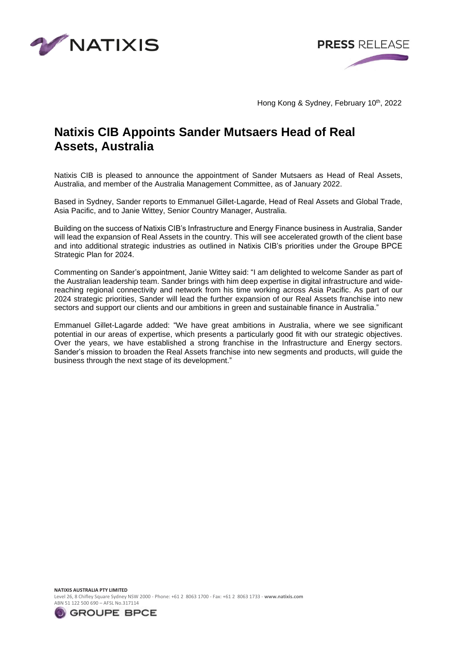



Hong Kong & Sydney, February 10<sup>th</sup>, 2022

# **Natixis CIB Appoints Sander Mutsaers Head of Real Assets, Australia**

Natixis CIB is pleased to announce the appointment of Sander Mutsaers as Head of Real Assets, Australia, and member of the Australia Management Committee, as of January 2022.

Based in Sydney, Sander reports to Emmanuel Gillet-Lagarde, Head of Real Assets and Global Trade, Asia Pacific, and to Janie Wittey, Senior Country Manager, Australia.

Building on the success of Natixis CIB's Infrastructure and Energy Finance business in Australia, Sander will lead the expansion of Real Assets in the country. This will see accelerated growth of the client base and into additional strategic industries as outlined in Natixis CIB's priorities under the Groupe BPCE Strategic Plan for 2024.

Commenting on Sander's appointment, Janie Wittey said: "I am delighted to welcome Sander as part of the Australian leadership team. Sander brings with him deep expertise in digital infrastructure and widereaching regional connectivity and network from his time working across Asia Pacific. As part of our 2024 strategic priorities, Sander will lead the further expansion of our Real Assets franchise into new sectors and support our clients and our ambitions in green and sustainable finance in Australia."

Emmanuel Gillet-Lagarde added: "We have great ambitions in Australia, where we see significant potential in our areas of expertise, which presents a particularly good fit with our strategic objectives. Over the years, we have established a strong franchise in the Infrastructure and Energy sectors. Sander's mission to broaden the Real Assets franchise into new segments and products, will guide the business through the next stage of its development."